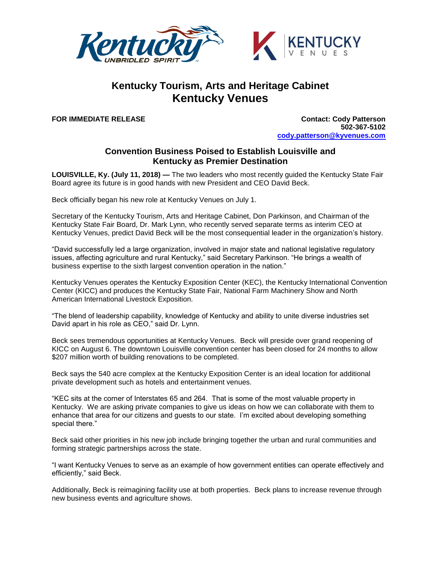

## **Kentucky Tourism, Arts and Heritage Cabinet Kentucky Venues**

**FOR IMMEDIATE RELEASE Contact: Cody Patterson 502-367-5102 [cody.patterson@kyvenues.com](mailto:cody.patterson@kyvenues.com)**

## **Convention Business Poised to Establish Louisville and Kentucky as Premier Destination**

**LOUISVILLE, Ky. (July 11, 2018) —** The two leaders who most recently guided the Kentucky State Fair Board agree its future is in good hands with new President and CEO David Beck.

Beck officially began his new role at Kentucky Venues on July 1.

Secretary of the Kentucky Tourism, Arts and Heritage Cabinet, Don Parkinson, and Chairman of the Kentucky State Fair Board, Dr. Mark Lynn, who recently served separate terms as interim CEO at Kentucky Venues, predict David Beck will be the most consequential leader in the organization's history.

"David successfully led a large organization, involved in major state and national legislative regulatory issues, affecting agriculture and rural Kentucky," said Secretary Parkinson. "He brings a wealth of business expertise to the sixth largest convention operation in the nation."

Kentucky Venues operates the Kentucky Exposition Center (KEC), the Kentucky International Convention Center (KICC) and produces the Kentucky State Fair, National Farm Machinery Show and North American International Livestock Exposition.

"The blend of leadership capability, knowledge of Kentucky and ability to unite diverse industries set David apart in his role as CEO," said Dr. Lynn.

Beck sees tremendous opportunities at Kentucky Venues. Beck will preside over grand reopening of KICC on August 6. The downtown Louisville convention center has been closed for 24 months to allow \$207 million worth of building renovations to be completed.

Beck says the 540 acre complex at the Kentucky Exposition Center is an ideal location for additional private development such as hotels and entertainment venues.

"KEC sits at the corner of Interstates 65 and 264. That is some of the most valuable property in Kentucky. We are asking private companies to give us ideas on how we can collaborate with them to enhance that area for our citizens and guests to our state. I'm excited about developing something special there."

Beck said other priorities in his new job include bringing together the urban and rural communities and forming strategic partnerships across the state.

"I want Kentucky Venues to serve as an example of how government entities can operate effectively and efficiently," said Beck.

Additionally, Beck is reimagining facility use at both properties. Beck plans to increase revenue through new business events and agriculture shows.